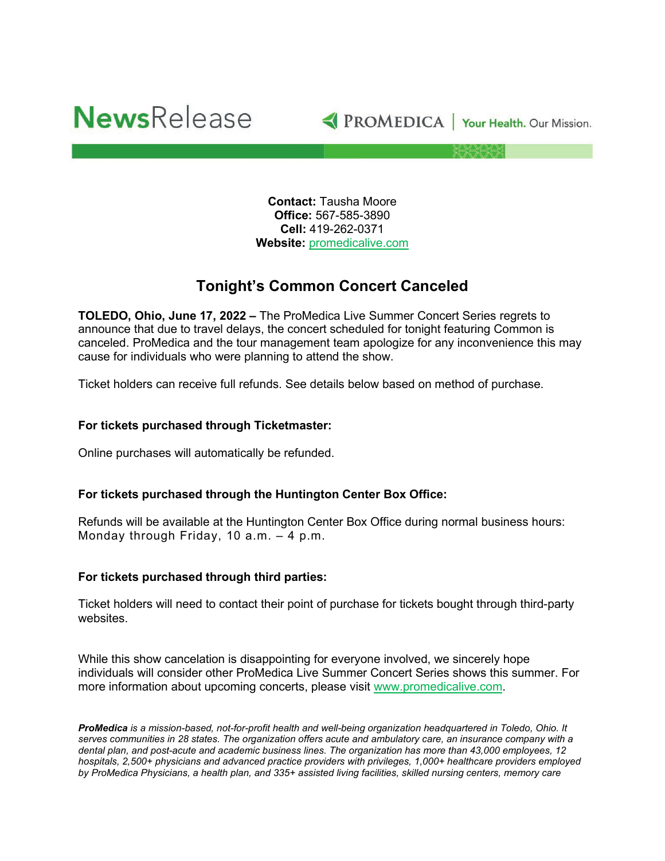



**Contact:** Tausha Moore **Office:** 567-585-3890 **Cell:** 419-262-0371 **Website:** [promedicalive.com](http://www.promedica.org/)

## **Tonight's Common Concert Canceled**

**TOLEDO, Ohio, June 17, 2022 –** The ProMedica Live Summer Concert Series regrets to announce that due to travel delays, the concert scheduled for tonight featuring Common is canceled. ProMedica and the tour management team apologize for any inconvenience this may cause for individuals who were planning to attend the show.

Ticket holders can receive full refunds. See details below based on method of purchase.

## **For tickets purchased through Ticketmaster:**

Online purchases will automatically be refunded.

## **For tickets purchased through the Huntington Center Box Office:**

Refunds will be available at the Huntington Center Box Office during normal business hours: Monday through Friday, 10 a.m. – 4 p.m.

## **For tickets purchased through third parties:**

Ticket holders will need to contact their point of purchase for tickets bought through third-party websites.

While this show cancelation is disappointing for everyone involved, we sincerely hope individuals will consider other ProMedica Live Summer Concert Series shows this summer. For more information about upcoming concerts, please visit [www.promedicalive.com.](http://www.promedicalive.com/)

*ProMedica is a mission-based, not-for-profit health and well-being organization headquartered in Toledo, Ohio. It serves communities in 28 states. The organization offers acute and ambulatory care, an insurance company with a dental plan, and post-acute and academic business lines. The organization has more than 43,000 employees, 12 hospitals, 2,500+ physicians and advanced practice providers with privileges, 1,000+ healthcare providers employed by ProMedica Physicians, a health plan, and 335+ assisted living facilities, skilled nursing centers, memory care*